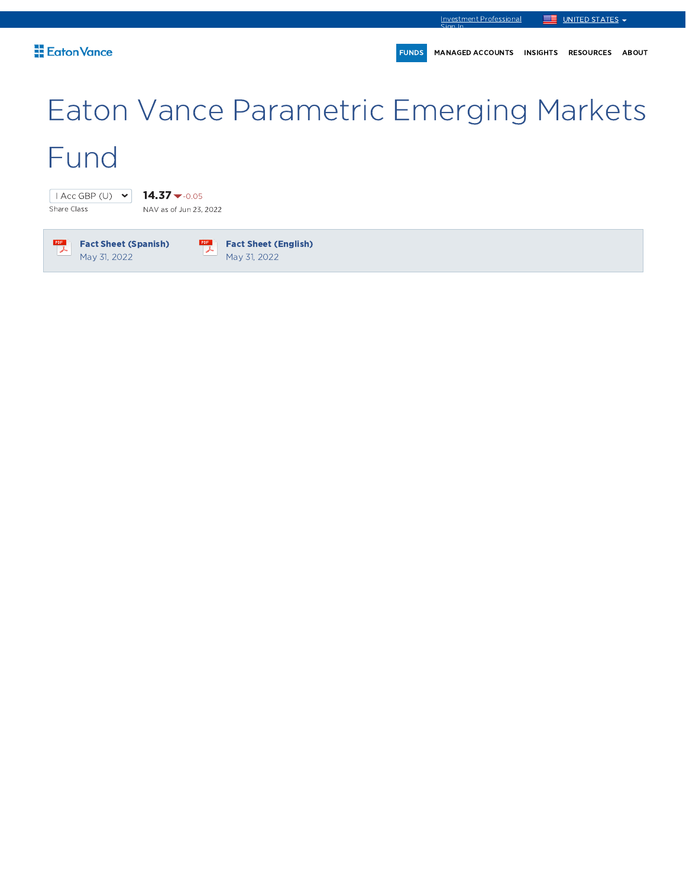FUNDS MANAGED ACCOUNTS INSIGHTS RESOURCES ABOUT

# Eaton Vance Parametric Emerging Markets Fund

Share Class

 $1 \text{Acc}$  GBP (U)  $\vee$  14.37  $\bullet$  -0.05

NAV as of Jun 23, 2022

 $\frac{1}{\sqrt{2}}$ 

Fact Sheet (Spanish) May 31, 2022

 $\frac{1}{\sqrt{2}}$ Fact Sheet (English) May 31, 2022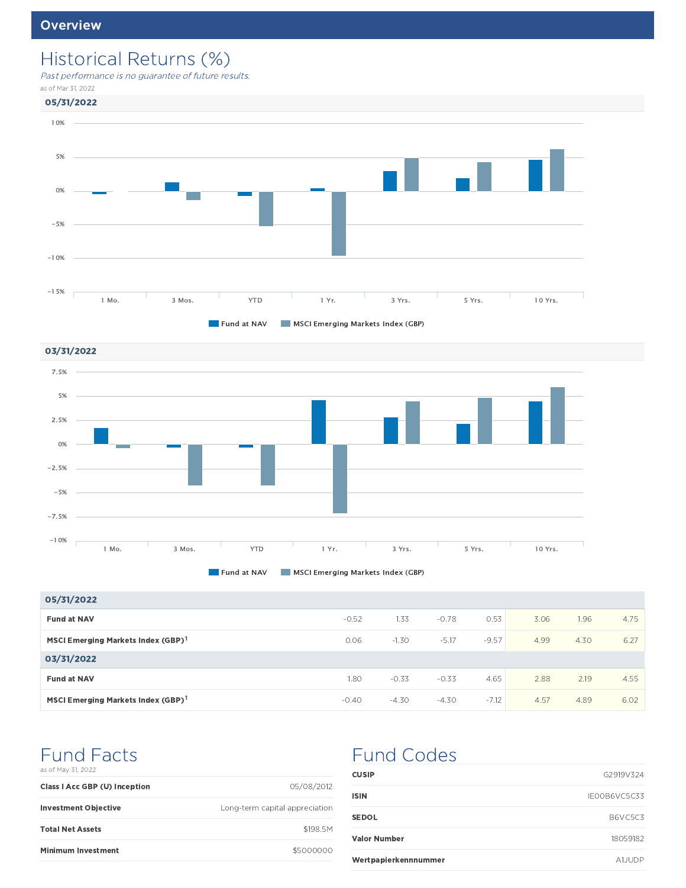# Historical Returns (%)

Past performance is no guarantee of future results.

as of Mar 31, 2022







| 05/31/2022                                     |         |         |         |         |      |      |      |
|------------------------------------------------|---------|---------|---------|---------|------|------|------|
| <b>Fund at NAV</b>                             | $-0.52$ | 1.33    | $-0.78$ | 0.53    | 3.06 | 1.96 | 4.75 |
| MSCI Emerging Markets Index (GBP) <sup>1</sup> | 0.06    | $-1.30$ | $-5.17$ | $-9.57$ | 4.99 | 4.30 | 6.27 |
| 03/31/2022                                     |         |         |         |         |      |      |      |
| <b>Fund at NAV</b>                             | 1.80    | $-0.33$ | $-0.33$ | 4.65    | 2.88 | 2.19 | 4.55 |
| MSCI Emerging Markets Index (GBP) <sup>1</sup> | $-0.40$ | $-4.30$ | $-4.30$ | $-7.12$ | 4.57 | 4.89 | 6.02 |

# Fund Facts

|  |  | as of May 31, 2022 |  |
|--|--|--------------------|--|
|  |  |                    |  |

| <b>Class I Acc GBP (U) Inception</b> | 05/08/2012                     |
|--------------------------------------|--------------------------------|
| <b>Investment Objective</b>          | Long-term capital appreciation |
| <b>Total Net Assets</b>              | \$198.5M                       |
| <b>Minimum Investment</b>            | \$5000000                      |

# Fund Codes

| <b>CUSIP</b>         | G2919V324     |
|----------------------|---------------|
| ISIN                 | IE00B6VC5C33  |
| <b>SEDOL</b>         | B6VC5C3       |
| <b>Valor Number</b>  | 18059182      |
| Wertpapierkennnummer | <b>A1JUDP</b> |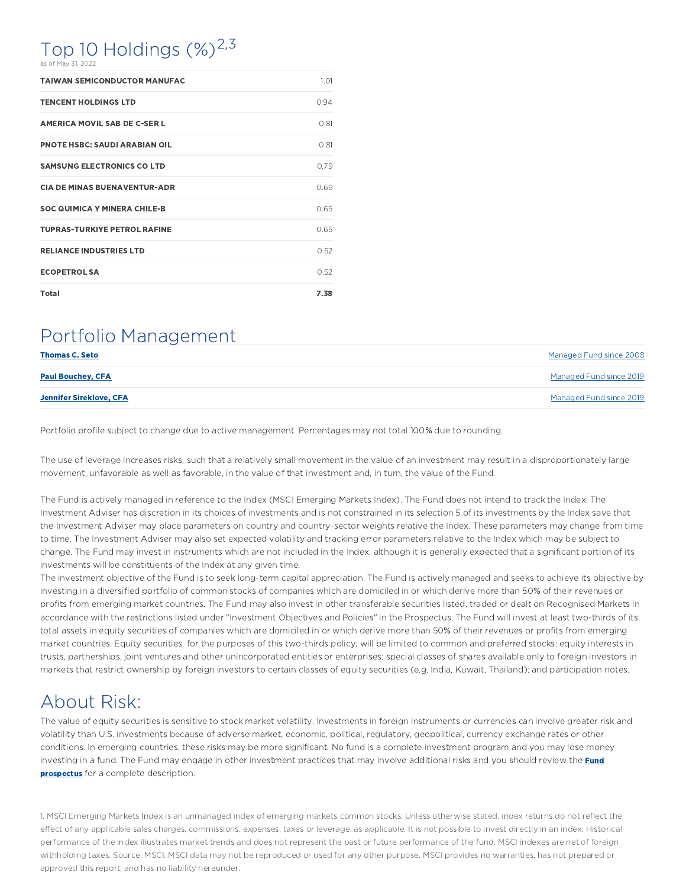# Top 10 Holdings  $(\%)^{2,3}$

as of May 31, 2022

| <b>TAIWAN SEMICONDUCTOR MANUFAC</b>  | 1.01 |
|--------------------------------------|------|
| <b>TENCENT HOLDINGS LTD</b>          | 0.94 |
| <b>AMERICA MOVIL SAB DE C-SER L</b>  | 0.81 |
| <b>PNOTE HSBC: SAUDI ARABIAN OIL</b> | 0.81 |
| <b>SAMSUNG ELECTRONICS CO LTD</b>    | 0.79 |
| <b>CIA DE MINAS BUENAVENTUR-ADR</b>  | 0.69 |
| <b>SOC QUIMICA Y MINERA CHILE-B</b>  | 0.65 |
| <b>TUPRAS-TURKIYE PETROL RAFINE</b>  | 0.65 |
| <b>RELIANCE INDUSTRIES LTD</b>       | 0.52 |
| <b>ECOPETROL SA</b>                  | 0.52 |
| <b>Total</b>                         | 7.38 |

### Portfolio Management

| <b>Thomas C. Seto</b>    | Managed Fund since 2008 |
|--------------------------|-------------------------|
| <b>Paul Bouchey, CFA</b> | Managed Fund since 2019 |
| Jennifer Sireklove, CFA  | Managed Fund since 2019 |

Portfolio profile subject to change due to active management. Percentages may not total 100% due to rounding.

The use of leverage increases risks, such that a relatively small movement in the value of an investment may result in a disproportionately large movement, unfavorable as well as favorable, in the value of that investment and, in turn, the value of the Fund.

The Fund is actively managed in reference to the Index (MSCI Emerging Markets Index). The Fund does not intend to track the Index. The Investment Adviser has discretion in its choices of investments and is not constrained in its selection 5 of its investments by the Index save that the Investment Adviser may place parameters on country and country-sector weights relative the Index. These parameters may change from time to time. The Investment Adviser may also set expected volatility and tracking error parameters relative to the Index which may be subject to change. The Fund may invest in instruments which are not included in the Index, although it is generally expected that a significant portion of its investments will be constituents of the Index at any given time.

The investment objective of the Fund is to seek long-term capital appreciation. The Fund is actively managed and seeks to achieve its objective by investing in a diversified portfolio of common stocks of companies which are domiciled in or which derive more than 50% of their revenues or profits from emerging market countries. The Fund may also invest in other transferable securities listed, traded or dealt on Recognised Markets in accordance with the restrictions listed under "Investment Objectives and Policies" in the Prospectus. The Fund will invest at least two-thirds of its total assets in equity securities of companies which are domiciled in or which derive more than 50% of their revenues or profits from emerging market countries. Equity securities, for the purposes of this two-thirds policy, will be limited to common and preferred stocks; equity interests in trusts, partnerships, joint ventures and other unincorporated entities or enterprises; special classes of shares available only to foreign investors in markets that restrict ownership by foreign investors to certain classes of equity securities (e.g. India, Kuwait, Thailand); and participation notes.

## About Risk:

The value of equity securities is sensitive to stock market volatility. Investments in foreign instruments or currencies can involve greater risk and volatility than U.S. investments because of adverse market, economic, political, regulatory, geopolitical, currency exchange rates or other conditions. In emerging countries, these risks may be more significant. No fund is a complete investment program and you may lose money investing in a fund. The Fund may engage in other investment practices that may involve additional risks and you should review the **Fund prospectus** for a complete description.

1. MSCI Emerging Markets Index is an unmanaged index of emerging markets common stocks. Unless otherwise stated, index returns do not reflect the effect of any applicable sales charges, commissions, expenses, taxes or leverage, as applicable. It is not possible to invest directly in an index. Historical performance of the index illustrates market trends and does not represent the past or future performance of the fund. MSCI indexes are net of foreign withholding taxes. Source: MSCI. MSCI data may not be reproduced or used for any other purpose. MSCI provides no warranties, has not prepared or approved this report, and has no liability hereunder.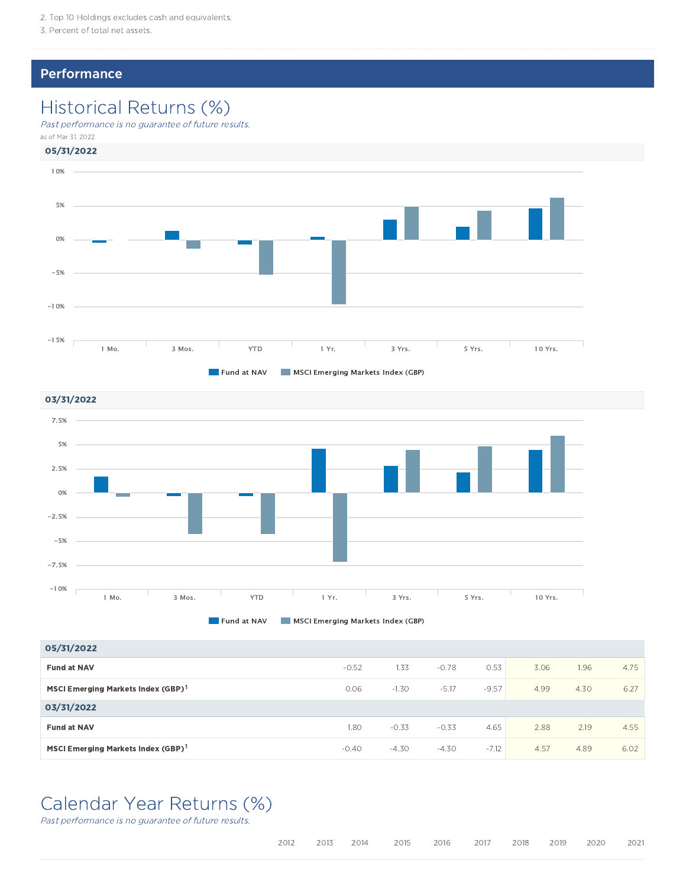3. Percent of total net assets.

### **Performance**

# Historical Returns (%)

Past performance is no guarantee of future results.

as of Mar 31, 2022







| 05/31/2022                                     |         |         |         |         |      |      |      |
|------------------------------------------------|---------|---------|---------|---------|------|------|------|
| <b>Fund at NAV</b>                             | $-0.52$ | 1.33    | $-0.78$ | 0.53    | 3.06 | 1.96 | 4.75 |
| MSCI Emerging Markets Index (GBP) <sup>1</sup> | 0.06    | $-1.30$ | $-5.17$ | $-9.57$ | 4.99 | 4.30 | 6.27 |
| 03/31/2022                                     |         |         |         |         |      |      |      |
| <b>Fund at NAV</b>                             | 1.80    | $-0.33$ | $-0.33$ | 4.65    | 2.88 | 2.19 | 4.55 |
| MSCI Emerging Markets Index (GBP) <sup>1</sup> | $-0.40$ | $-4.30$ | $-4.30$ | $-7.12$ | 4.57 | 4.89 | 6.02 |

### Calendar Year Returns (%)

Past performance is no guarantee of future results.

|  |  |  | 2012  2013  2014  2015  2016  2017  2018  2019  2020  2021 |  |  |  |  |  |  |
|--|--|--|------------------------------------------------------------|--|--|--|--|--|--|
|--|--|--|------------------------------------------------------------|--|--|--|--|--|--|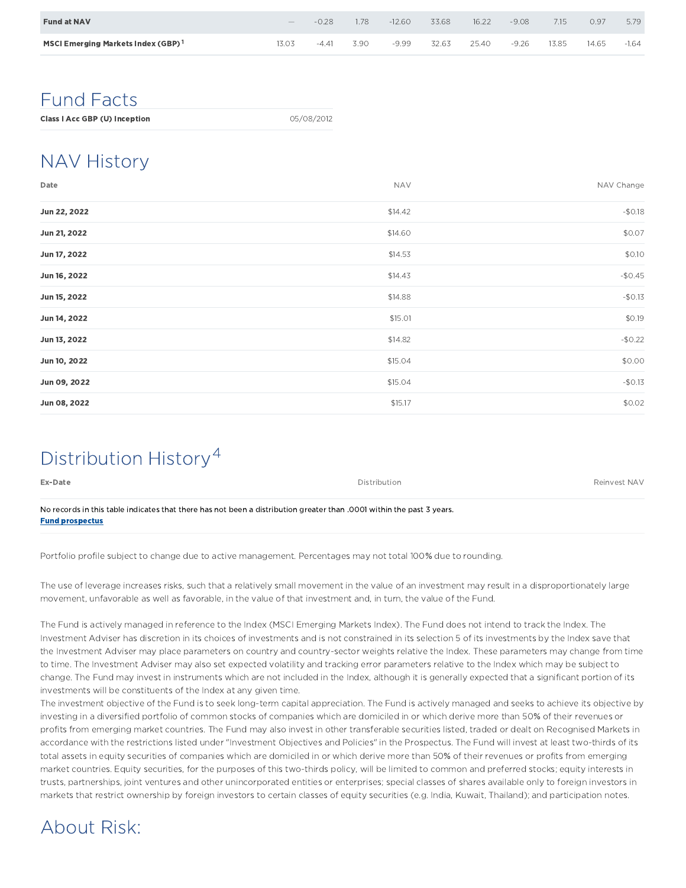| <b>Fund at NAV</b>                             | $-$  | -0.28   | .78  | $-12.60$ | 33.68 | 16.22 | $-9.08$ | 7.15  | 0.97  | 5.79    |
|------------------------------------------------|------|---------|------|----------|-------|-------|---------|-------|-------|---------|
| MSCI Emerging Markets Index (GBP) <sup>1</sup> | 3.03 | $-4.41$ | 3.90 | -9.99    | 32.63 | 25.40 | $-9.26$ | 13.85 | 14.65 | $-1.64$ |

### Fund Facts

# NAV History

| Date         | <b>NAV</b> | NAV Change |
|--------------|------------|------------|
| Jun 22, 2022 | \$14.42    | $-50.18$   |
| Jun 21, 2022 | \$14.60    | \$0.07     |
| Jun 17, 2022 | \$14.53    | \$0.10     |
| Jun 16, 2022 | \$14.43    | $-$0.45$   |
| Jun 15, 2022 | \$14.88    | $-50.13$   |
| Jun 14, 2022 | \$15.01    | \$0.19     |
| Jun 13, 2022 | \$14.82    | $-$0.22$   |
| Jun 10, 2022 | \$15.04    | \$0.00     |
| Jun 09, 2022 | \$15.04    | $-50.13$   |
| Jun 08, 2022 | \$15.17    | \$0.02     |

# Distribution History 4

| Ex-Date                                                                                                              | <b>Distribution</b> | Reinvest NAV |
|----------------------------------------------------------------------------------------------------------------------|---------------------|--------------|
| No records in this table indicates that there has not been a distribution greater than 0001 within the past 3 years. |                     |              |

Fund prospectus

Portfolio profile subject to change due to active management. Percentages may not total 100% due to rounding.

The use of leverage increases risks, such that a relatively small movement in the value of an investment may result in a disproportionately large movement, unfavorable as well as favorable, in the value of that investment and, in turn, the value of the Fund.

The Fund is actively managed in reference to the Index (MSCI Emerging Markets Index). The Fund does not intend to track the Index. The Investment Adviser has discretion in its choices of investments and is not constrained in its selection 5 of its investments by the Index save that the Investment Adviser may place parameters on country and country-sector weights relative the Index. These parameters may change from time to time. The Investment Adviser may also set expected volatility and tracking error parameters relative to the Index which may be subject to change. The Fund may invest in instruments which are not included in the Index, although it is generally expected that a significant portion of its investments will be constituents of the Index at any given time.

The investment objective of the Fund is to seek long-term capital appreciation. The Fund is actively managed and seeks to achieve its objective by investing in a diversified portfolio of common stocks of companies which are domiciled in or which derive more than 50% of their revenues or profits from emerging market countries. The Fund may also invest in other transferable securities listed, traded or dealt on Recognised Markets in accordance with the restrictions listed under "Investment Objectives and Policies" in the Prospectus. The Fund will invest at least two-thirds of its total assets in equity securities of companies which are domiciled in or which derive more than 50% of their revenues or profits from emerging market countries. Equity securities, for the purposes of this two-thirds policy, will be limited to common and preferred stocks; equity interests in trusts, partnerships, joint ventures and other unincorporated entities or enterprises; special classes of shares available only to foreign investors in markets that restrict ownership by foreign investors to certain classes of equity securities (e.g. India, Kuwait, Thailand); and participation notes.

# About Risk: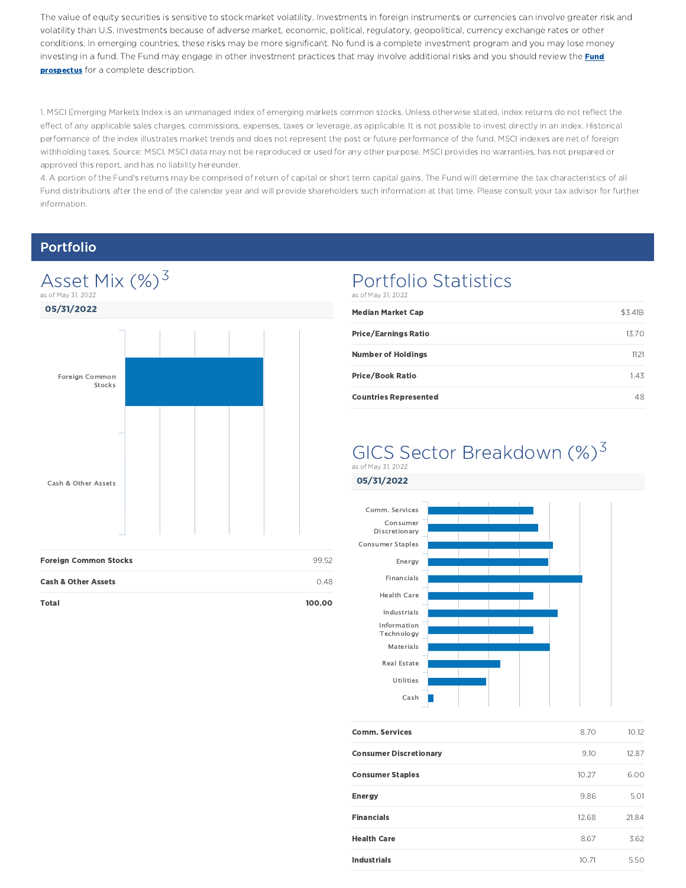The value of equity securities is sensitive to stock market volatility. Investments in foreign instruments or currencies can involve greater risk and volatility than U.S. investments because of adverse market, economic, political, regulatory, geopolitical, currency exchange rates or other conditions. In emerging countries, these risks may be more significant. No fund is a complete investment program and you may lose money investing in a fund. The Fund may engage in other investment practices that may involve additional risks and you should review the **Fund prospectus** for a complete description.

1. MSCI Emerging Markets Index is an unmanaged index of emerging markets common stocks. Unless otherwise stated, index returns do not reflect the effect of any applicable sales charges, commissions, expenses, taxes or leverage, as applicable. It is not possible to invest directly in an index. Historical performance of the index illustrates market trends and does not represent the past or future performance of the fund. MSCI indexes are net of foreign withholding taxes. Source: MSCI. MSCI data may not be reproduced or used for any other purpose. MSCI provides no warranties, has not prepared or approved this report, and has no liability hereunder.

4. A portion of the Fund's returns may be comprised of return of capital or short term capital gains. The Fund will determine the tax characteristics of all Fund distributions after the end of the calendar year and will provide shareholders such information at that time. Please consult your tax advisor for further information.

### Portfolio



Total 100.00

### Portfolio Statistics as of May 31, 2022

| \$3.41B |
|---------|
| 13.70   |
| 1121    |
| 1.43    |
| 48      |
|         |

### GICS Sector Breakdown (%)<sup>3</sup> as of May 31, 2022



| <b>Comm. Services</b>         | 8.70  | 10.12 |
|-------------------------------|-------|-------|
| <b>Consumer Discretionary</b> | 9.10  | 12.87 |
| <b>Consumer Staples</b>       | 10.27 | 6.00  |
| <b>Energy</b>                 | 9.86  | 5.01  |
| <b>Financials</b>             | 12.68 | 21.84 |
| <b>Health Care</b>            | 8.67  | 3.62  |
| <b>Industrials</b>            | 10.71 | 5.50  |
|                               |       |       |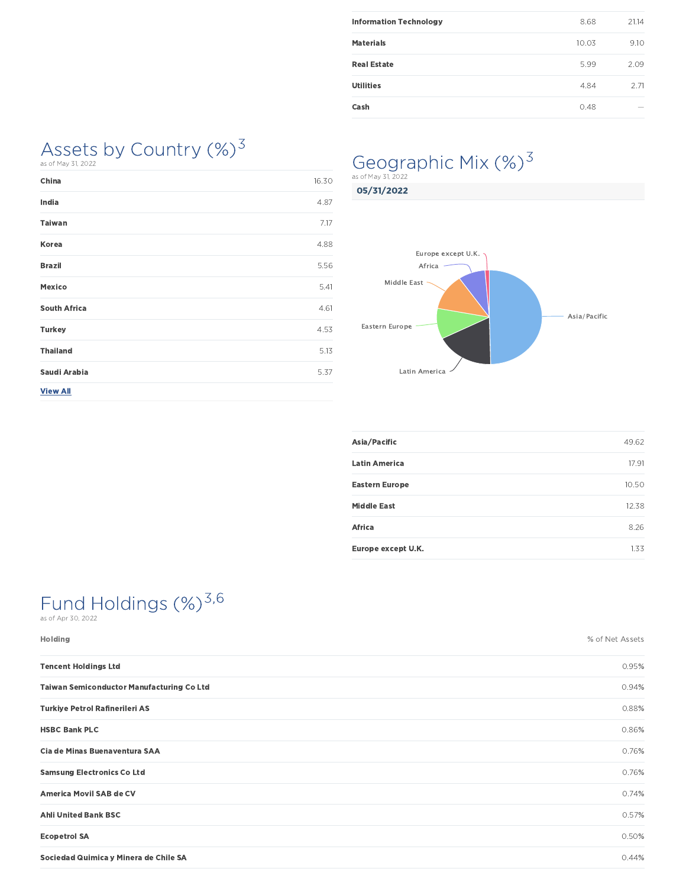| <b>Information Technology</b> | 8.68  | 21.14 |
|-------------------------------|-------|-------|
| <b>Materials</b>              | 10.03 | 9.10  |
| <b>Real Estate</b>            | 5.99  | 2.09  |
| <b>Utilities</b>              | 4.84  | 2.71  |
| Cash                          | 0.48  | -     |
|                               |       |       |

### Assets by Country  $(\%)^3$ as of May 31, 2022

| China               | 16.30 |
|---------------------|-------|
| India               | 4.87  |
| <b>Taiwan</b>       | 7.17  |
| Korea               | 4.88  |
| <b>Brazil</b>       | 5.56  |
| Mexico              | 5.41  |
| <b>South Africa</b> | 4.61  |
| <b>Turkey</b>       | 4.53  |
| <b>Thailand</b>     | 5.13  |
| Saudi Arabia        | 5.37  |
| <b>View All</b>     |       |

# Geographic Mix (%)<sup>3</sup>

05/31/2022 as of May 31, 2022



| Asia/Pacific          | 49.62 |
|-----------------------|-------|
| <b>Latin America</b>  | 17.91 |
| <b>Eastern Europe</b> | 10.50 |
| <b>Middle East</b>    | 12.38 |
| Africa                | 8.26  |
| Europe except U.K.    | 1.33  |

# Fund Holdings (%)<sup>3,6</sup>

as of Apr 30, 2022

| Holding                                          | % of Net Assets |
|--------------------------------------------------|-----------------|
| <b>Tencent Holdings Ltd</b>                      | 0.95%           |
| <b>Taiwan Semiconductor Manufacturing Co Ltd</b> | 0.94%           |
| <b>Turkiye Petrol Rafinerileri AS</b>            | 0.88%           |
| <b>HSBC Bank PLC</b>                             | 0.86%           |
| Cia de Minas Buenaventura SAA                    | 0.76%           |
| <b>Samsung Electronics Co Ltd</b>                | 0.76%           |
| America Movil SAB de CV                          | 0.74%           |
| <b>Ahli United Bank BSC</b>                      | 0.57%           |
| <b>Ecopetrol SA</b>                              | 0.50%           |
| Sociedad Quimica y Minera de Chile SA            | 0.44%           |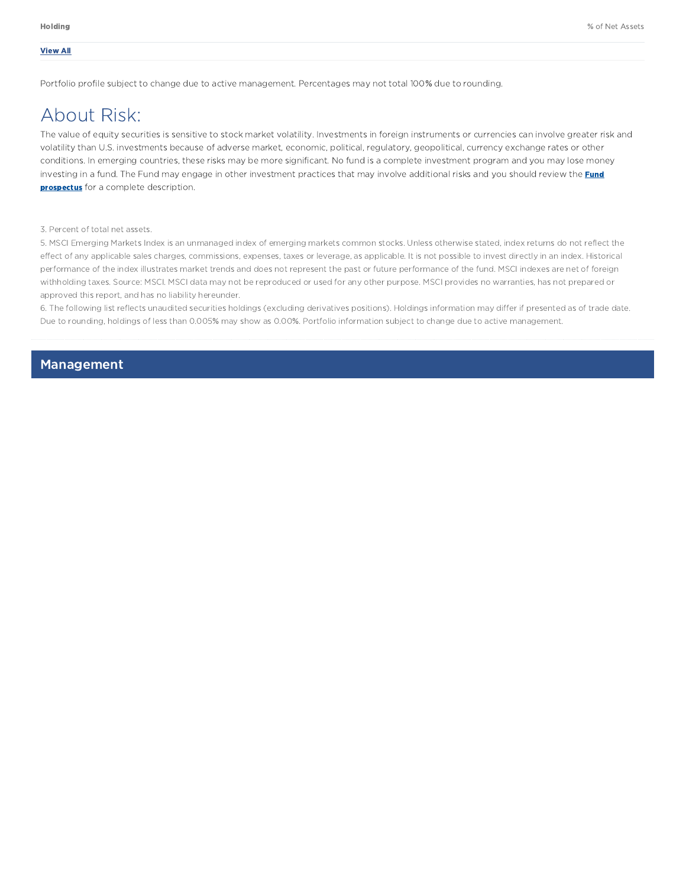#### View All

Portfolio profile subject to change due to active management. Percentages may not total 100% due to rounding.

## About Risk:

The value of equity securities is sensitive to stock market volatility. Investments in foreign instruments or currencies can involve greater risk and volatility than U.S. investments because of adverse market, economic, political, regulatory, geopolitical, currency exchange rates or other conditions. In emerging countries, these risks may be more significant. No fund is a complete investment program and you may lose money investing in a fund. The Fund may engage in other investment practices that may involve additional risks and you should review the **Fund prospectus** for a complete description.

3. Percent of total net assets.

5. MSCI Emerging Markets Index is an unmanaged index of emerging markets common stocks. Unless otherwise stated, index returns do not reflect the effect of any applicable sales charges, commissions, expenses, taxes or leverage, as applicable. It is not possible to invest directly in an index. Historical performance of the index illustrates market trends and does not represent the past or future performance of the fund. MSCI indexes are net of foreign withholding taxes. Source: MSCI. MSCI data may not be reproduced or used for any other purpose. MSCI provides no warranties, has not prepared or approved this report, and has no liability hereunder.

6. The following list reflects unaudited securities holdings (excluding derivatives positions). Holdings information may differ if presented as of trade date. Due to rounding, holdings of less than 0.005% may show as 0.00%. Portfolio information subject to change due to active management.

### Management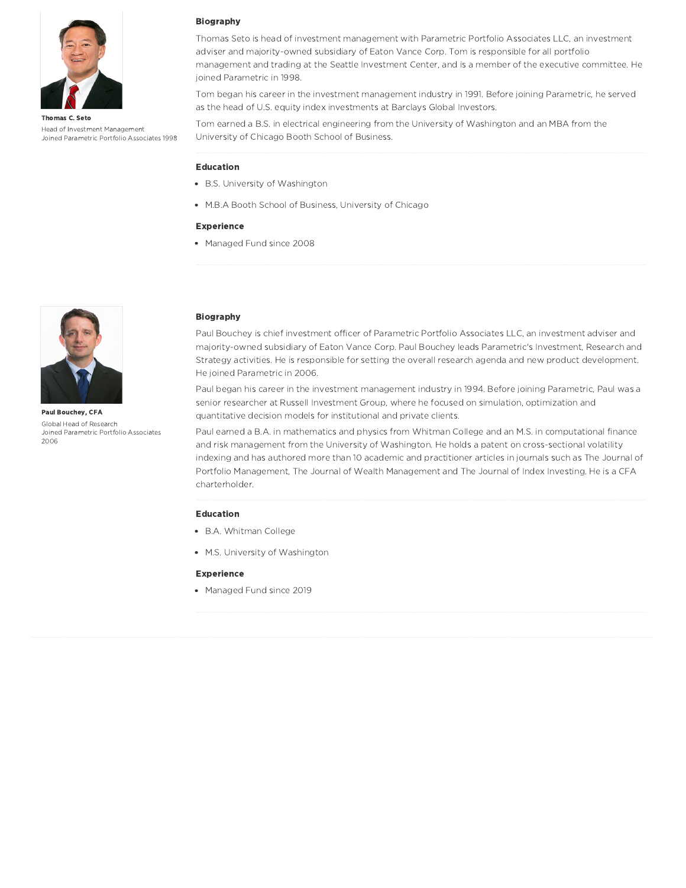

Thomas C. Seto Head of Investment Management Joined Parametric Portfolio Associates 1998

#### Biography

Thomas Seto is head of investment management with Parametric Portfolio Associates LLC, an investment adviser and majority-owned subsidiary of Eaton Vance Corp. Tom is responsible for all portfolio management and trading at the Seattle Investment Center, and is a member of the executive committee. He joined Parametric in 1998.

Tom began his career in the investment management industry in 1991. Before joining Parametric, he served as the head of U.S. equity index investments at Barclays Global Investors.

Tom earned a B.S. in electrical engineering from the University of Washington and an MBA from the University of Chicago Booth School of Business.

#### Education

- B.S. University of Washington
- M.B.A Booth School of Business, University of Chicago

#### Experience

Managed Fund since 2008



Paul Bouchey, CFA Global Head of Research Joined Parametric Portfolio Associates 2006

#### Biography

Paul Bouchey is chief investment officer of Parametric Portfolio Associates LLC, an investment adviser and majority-owned subsidiary of Eaton Vance Corp. Paul Bouchey leads Parametric's Investment, Research and Strategy activities. He is responsible for setting the overall research agenda and new product development. He joined Parametric in 2006.

Paul began his career in the investment management industry in 1994. Before joining Parametric, Paul was a senior researcher at Russell Investment Group, where he focused on simulation, optimization and quantitative decision models for institutional and private clients.

Paul earned a B.A. in mathematics and physics from Whitman College and an M.S. in computational finance and risk management from the University of Washington. He holds a patent on cross-sectional volatility indexing and has authored more than 10 academic and practitioner articles in journals such as The Journal of Portfolio Management, The Journal of Wealth Management and The Journal of Index Investing. He is a CFA charterholder.

#### Education

- B.A. Whitman College
- M.S. University of Washington

#### Experience

• Managed Fund since 2019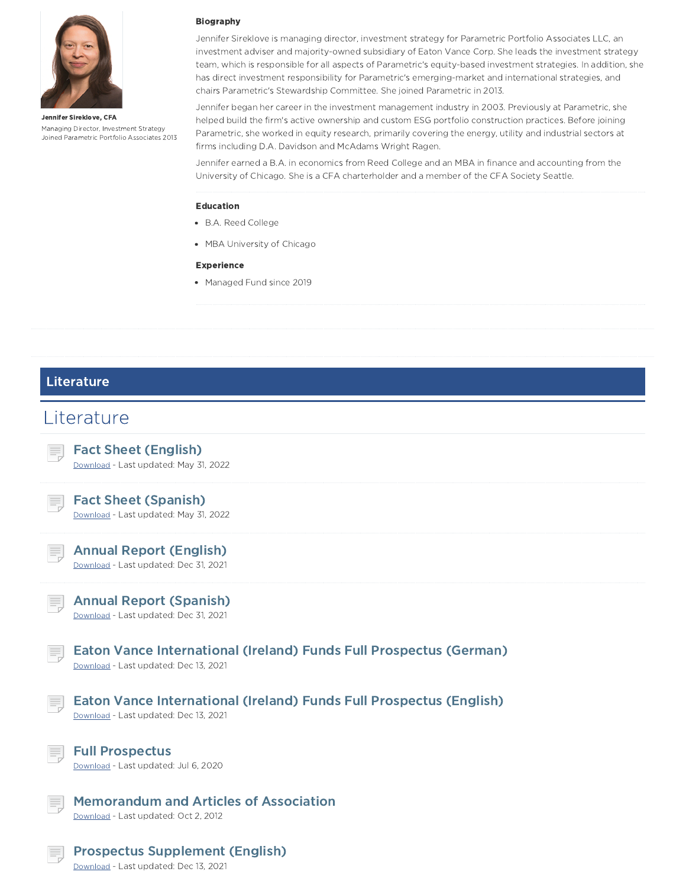

Jennifer Sireklove, CFA Managing Director, Investment Strategy Joined Parametric Portfolio Associates 2013

#### Biography

Jennifer Sireklove is managing director, investment strategy for Parametric Portfolio Associates LLC, an investment adviser and majority-owned subsidiary of Eaton Vance Corp. She leads the investment strategy team, which is responsible for all aspects of Parametric's equity-based investment strategies. In addition, she has direct investment responsibility for Parametric's emerging-market and international strategies, and chairs Parametric's Stewardship Committee. She joined Parametric in 2013.

Jennifer began her career in the investment management industry in 2003. Previously at Parametric, she helped build the firm's active ownership and custom ESG portfolio construction practices. Before joining Parametric, she worked in equity research, primarily covering the energy, utility and industrial sectors at firms including D.A. Davidson and McAdams Wright Ragen.

Jennifer earned a B.A. in economics from Reed College and an MBA in finance and accounting from the University of Chicago. She is a CFA charterholder and a member of the CFA Society Seattle.

#### Education

- B.A. Reed College
- MBA University of Chicago

#### Experience

• Managed Fund since 2019

### Literature

### **Literature**

Download - Last updated: Dec 13, 2021

|    | <b>Fact Sheet (English)</b><br>Download - Last updated: May 31, 2022                                                |
|----|---------------------------------------------------------------------------------------------------------------------|
|    | <b>Fact Sheet (Spanish)</b><br>Download - Last updated: May 31, 2022                                                |
|    | <b>Annual Report (English)</b><br>Download - Last updated: Dec 31, 2021                                             |
| Ħ, | <b>Annual Report (Spanish)</b><br>Download - Last updated: Dec 31, 2021                                             |
| Ξ, | Eaton Vance International (Ireland) Funds Full Prospectus (German)<br>Download - Last updated: Dec 13, 2021         |
|    | <b>Eaton Vance International (Ireland) Funds Full Prospectus (English)</b><br>Download - Last updated: Dec 13, 2021 |
|    | <b>Full Prospectus</b><br>Download - Last updated: Jul 6, 2020                                                      |
|    | <b>Memorandum and Articles of Association</b><br>Download - Last updated: Oct 2, 2012                               |
|    | <b>Prospectus Supplement (English)</b>                                                                              |